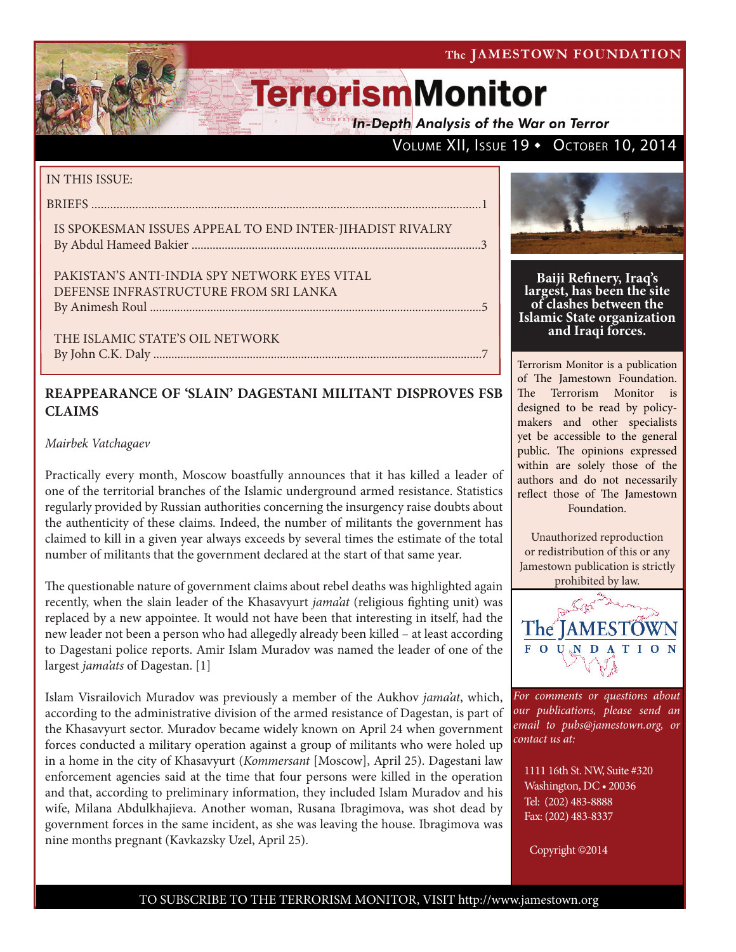The JAMESTOWN FOUNDATION

# **TerrorismMonitor**

**In-Depth Analysis of the War on Terror** 

## VOLUME XII, ISSUE 19 + OCTOBER 10, 2014

### IN THIS ISSUE:

BRIEFS ............................................................................................................................1

IS SPOKESMAN ISSUES APPEAL TO END INTER-JIHADIST RIVALRY By Abdul Hameed Bakier ................................................................................................3

PAKISTAN'S ANTI-INDIA SPY NETWORK EYES VITAL DEFENSE INFRASTRUCTURE FROM SRI LANKA By Animesh Roul ..............................................................................................................5

THE ISLAMIC STATE'S OIL NETWORK By John C.K. Daly .............................................................................................................7

## **REAPPEARANCE OF 'SLAIN' DAGESTANI MILITANT DISPROVES FSB**

## *Mairbek Vatchagaev*

**CLAIMS**

Practically every month, Moscow boastfully announces that it has killed a leader of one of the territorial branches of the Islamic underground armed resistance. Statistics regularly provided by Russian authorities concerning the insurgency raise doubts about the authenticity of these claims. Indeed, the number of militants the government has claimed to kill in a given year always exceeds by several times the estimate of the total number of militants that the government declared at the start of that same year.

The questionable nature of government claims about rebel deaths was highlighted again recently, when the slain leader of the Khasavyurt *jama'at* (religious fighting unit) was replaced by a new appointee. It would not have been that interesting in itself, had the new leader not been a person who had allegedly already been killed – at least according to Dagestani police reports. Amir Islam Muradov was named the leader of one of the largest *jama'ats* of Dagestan. [1]

Islam Visrailovich Muradov was previously a member of the Aukhov *jama'at*, which, according to the administrative division of the armed resistance of Dagestan, is part of the Khasavyurt sector. Muradov became widely known on April 24 when government forces conducted a military operation against a group of militants who were holed up in a home in the city of Khasavyurt (*Kommersant* [Moscow], April 25). Dagestani law enforcement agencies said at the time that four persons were killed in the operation and that, according to preliminary information, they included Islam Muradov and his wife, Milana Abdulkhajieva. Another woman, Rusana Ibragimova, was shot dead by government forces in the same incident, as she was leaving the house. Ibragimova was nine months pregnant (Kavkazsky Uzel, April 25).



**Baiji Refinery, Iraq's largest, has been the site of clashes between the Islamic State organization and Iraqi forces.**

Terrorism Monitor is a publication of The Jamestown Foundation. The Terrorism Monitor is designed to be read by policymakers and other specialists yet be accessible to the general public. The opinions expressed within are solely those of the authors and do not necessarily reflect those of The Jamestown Foundation.

Unauthorized reproduction or redistribution of this or any Jamestown publication is strictly prohibited by law.



*For comments or questions about our publications, please send an email to pubs@jamestown.org, or contact us at:* 

1111 16th St. NW, Suite #320 Washington, DC • 20036 Tel: (202) 483-8888 Fax: (202) 483-8337

Copyright ©2014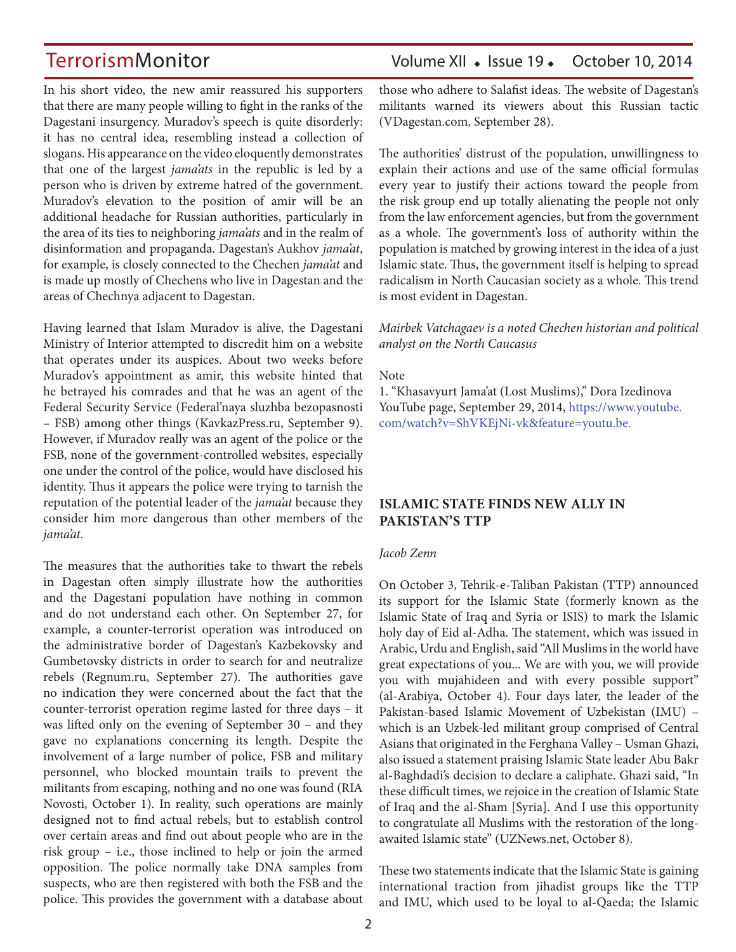In his short video, the new amir reassured his supporters that there are many people willing to fight in the ranks of the Dagestani insurgency. Muradov's speech is quite disorderly: it has no central idea, resembling instead a collection of slogans. His appearance on the video eloquently demonstrates that one of the largest *jama'ats* in the republic is led by a person who is driven by extreme hatred of the government. Muradov's elevation to the position of amir will be an additional headache for Russian authorities, particularly in the area of its ties to neighboring *jama'ats* and in the realm of disinformation and propaganda. Dagestan's Aukhov *jama'at*, for example, is closely connected to the Chechen *jama'at* and is made up mostly of Chechens who live in Dagestan and the areas of Chechnya adjacent to Dagestan.

Having learned that Islam Muradov is alive, the Dagestani Ministry of Interior attempted to discredit him on a website that operates under its auspices. About two weeks before Muradov's appointment as amir, this website hinted that he betrayed his comrades and that he was an agent of the Federal Security Service (Federal'naya sluzhba bezopasnosti – FSB) among other things (KavkazPress.ru, September 9). However, if Muradov really was an agent of the police or the FSB, none of the government-controlled websites, especially one under the control of the police, would have disclosed his identity. Thus it appears the police were trying to tarnish the reputation of the potential leader of the *jama'at* because they consider him more dangerous than other members of the *jama'at*.

The measures that the authorities take to thwart the rebels in Dagestan often simply illustrate how the authorities and the Dagestani population have nothing in common and do not understand each other. On September 27, for example, a counter-terrorist operation was introduced on the administrative border of Dagestan's Kazbekovsky and Gumbetovsky districts in order to search for and neutralize rebels (Regnum.ru, September 27). The authorities gave no indication they were concerned about the fact that the counter-terrorist operation regime lasted for three days – it was lifted only on the evening of September 30 – and they gave no explanations concerning its length. Despite the involvement of a large number of police, FSB and military personnel, who blocked mountain trails to prevent the militants from escaping, nothing and no one was found (RIA Novosti, October 1). In reality, such operations are mainly designed not to find actual rebels, but to establish control over certain areas and find out about people who are in the risk group – i.e., those inclined to help or join the armed opposition. The police normally take DNA samples from suspects, who are then registered with both the FSB and the police. This provides the government with a database about

## TerrorismMonitor Volume XII • Issue 19 • October 10, 2014

those who adhere to Salafist ideas. The website of Dagestan's militants warned its viewers about this Russian tactic (VDagestan.com, September 28).

The authorities' distrust of the population, unwillingness to explain their actions and use of the same official formulas every year to justify their actions toward the people from the risk group end up totally alienating the people not only from the law enforcement agencies, but from the government as a whole. The government's loss of authority within the population is matched by growing interest in the idea of a just Islamic state. Thus, the government itself is helping to spread radicalism in North Caucasian society as a whole. This trend is most evident in Dagestan.

#### *Mairbek Vatchagaev is a noted Chechen historian and political analyst on the North Caucasus*

#### Note

1. "Khasavyurt Jama'at (Lost Muslims)," Dora Izedinova YouTube page, September 29, 2014, https://www.youtube. com/watch?v=ShVKEjNi-vk&feature=youtu.be.

### **ISLAMIC STATE FINDS NEW ALLY IN PAKISTAN'S TTP**

#### *Jacob Zenn*

On October 3, Tehrik-e-Taliban Pakistan (TTP) announced its support for the Islamic State (formerly known as the Islamic State of Iraq and Syria or ISIS) to mark the Islamic holy day of Eid al-Adha. The statement, which was issued in Arabic, Urdu and English, said "All Muslims in the world have great expectations of you... We are with you, we will provide you with mujahideen and with every possible support" (al-Arabiya, October 4). Four days later, the leader of the Pakistan-based Islamic Movement of Uzbekistan (IMU) – which is an Uzbek-led militant group comprised of Central Asians that originated in the Ferghana Valley – Usman Ghazi, also issued a statement praising Islamic State leader Abu Bakr al-Baghdadi's decision to declare a caliphate. Ghazi said, "In these difficult times, we rejoice in the creation of Islamic State of Iraq and the al-Sham [Syria]. And I use this opportunity to congratulate all Muslims with the restoration of the longawaited Islamic state" (UZNews.net, October 8).

These two statements indicate that the Islamic State is gaining international traction from jihadist groups like the TTP and IMU, which used to be loyal to al-Qaeda; the Islamic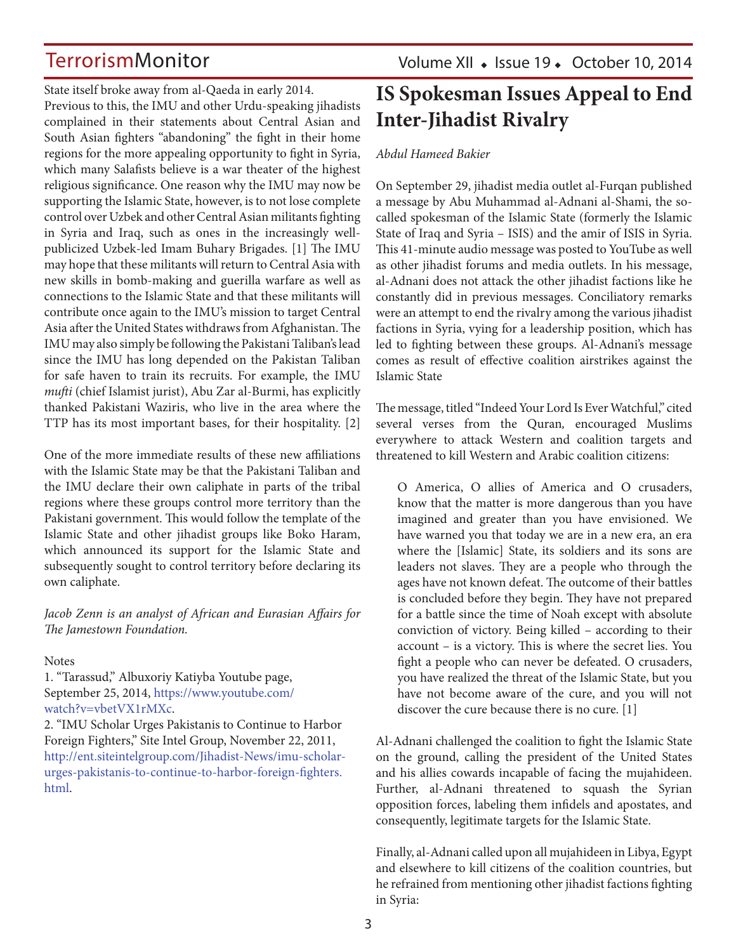State itself broke away from al-Qaeda in early 2014. Previous to this, the IMU and other Urdu-speaking jihadists complained in their statements about Central Asian and South Asian fighters "abandoning" the fight in their home regions for the more appealing opportunity to fight in Syria, which many Salafists believe is a war theater of the highest religious significance. One reason why the IMU may now be supporting the Islamic State, however, is to not lose complete control over Uzbek and other Central Asian militants fighting in Syria and Iraq, such as ones in the increasingly wellpublicized Uzbek-led Imam Buhary Brigades. [1] The IMU may hope that these militants will return to Central Asia with new skills in bomb-making and guerilla warfare as well as connections to the Islamic State and that these militants will contribute once again to the IMU's mission to target Central Asia after the United States withdraws from Afghanistan. The IMU may also simply be following the Pakistani Taliban's lead since the IMU has long depended on the Pakistan Taliban for safe haven to train its recruits. For example, the IMU *mufti* (chief Islamist jurist), Abu Zar al-Burmi, has explicitly thanked Pakistani Waziris, who live in the area where the TTP has its most important bases, for their hospitality. [2]

One of the more immediate results of these new affiliations with the Islamic State may be that the Pakistani Taliban and the IMU declare their own caliphate in parts of the tribal regions where these groups control more territory than the Pakistani government. This would follow the template of the Islamic State and other jihadist groups like Boko Haram, which announced its support for the Islamic State and subsequently sought to control territory before declaring its own caliphate.

### *Jacob Zenn is an analyst of African and Eurasian Affairs for The Jamestown Foundation.*

### **Notes**

1. "Tarassud," Albuxoriy Katiyba Youtube page, September 25, 2014, https://www.youtube.com/ watch?v=vbetVX1rMXc.

2. "IMU Scholar Urges Pakistanis to Continue to Harbor Foreign Fighters," Site Intel Group, November 22, 2011, http://ent.siteintelgroup.com/Jihadist-News/imu-scholarurges-pakistanis-to-continue-to-harbor-foreign-fighters. html.

Volume XII · Issue 19 · October 10, 2014

## **IS Spokesman Issues Appeal to End Inter-Jihadist Rivalry**

### *Abdul Hameed Bakier*

On September 29, jihadist media outlet al-Furqan published a message by Abu Muhammad al-Adnani al-Shami, the socalled spokesman of the Islamic State (formerly the Islamic State of Iraq and Syria – ISIS) and the amir of ISIS in Syria. This 41-minute audio message was posted to YouTube as well as other jihadist forums and media outlets. In his message, al-Adnani does not attack the other jihadist factions like he constantly did in previous messages. Conciliatory remarks were an attempt to end the rivalry among the various jihadist factions in Syria, vying for a leadership position, which has led to fighting between these groups. Al-Adnani's message comes as result of effective coalition airstrikes against the Islamic State

The message, titled "Indeed Your Lord Is Ever Watchful," cited several verses from the Quran*,*  encouraged Muslims everywhere to attack Western and coalition targets and threatened to kill Western and Arabic coalition citizens:

O America, O allies of America and O crusaders, know that the matter is more dangerous than you have imagined and greater than you have envisioned. We have warned you that today we are in a new era, an era where the [Islamic] State, its soldiers and its sons are leaders not slaves. They are a people who through the ages have not known defeat. The outcome of their battles is concluded before they begin. They have not prepared for a battle since the time of Noah except with absolute conviction of victory. Being killed – according to their account – is a victory. This is where the secret lies. You fight a people who can never be defeated. O crusaders, you have realized the threat of the Islamic State, but you have not become aware of the cure, and you will not discover the cure because there is no cure. [1]

Al-Adnani challenged the coalition to fight the Islamic State on the ground, calling the president of the United States and his allies cowards incapable of facing the mujahideen. Further, al-Adnani threatened to squash the Syrian opposition forces, labeling them infidels and apostates, and consequently, legitimate targets for the Islamic State.

Finally, al-Adnani called upon all mujahideen in Libya, Egypt and elsewhere to kill citizens of the coalition countries, but he refrained from mentioning other jihadist factions fighting in Syria: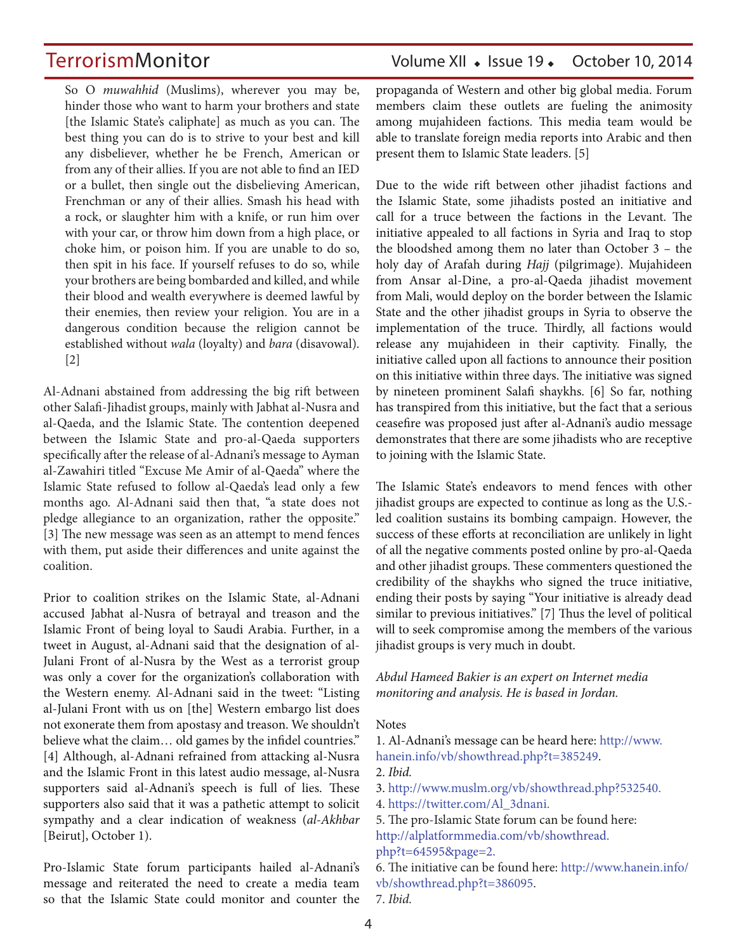So O *muwahhid* (Muslims), wherever you may be, hinder those who want to harm your brothers and state [the Islamic State's caliphate] as much as you can. The best thing you can do is to strive to your best and kill any disbeliever, whether he be French, American or from any of their allies. If you are not able to find an IED or a bullet, then single out the disbelieving American, Frenchman or any of their allies. Smash his head with a rock, or slaughter him with a knife, or run him over with your car, or throw him down from a high place, or choke him, or poison him. If you are unable to do so, then spit in his face. If yourself refuses to do so, while your brothers are being bombarded and killed, and while their blood and wealth everywhere is deemed lawful by their enemies, then review your religion. You are in a dangerous condition because the religion cannot be established without *wala* (loyalty) and *bara* (disavowal). [2]

Al-Adnani abstained from addressing the big rift between other Salafi-Jihadist groups, mainly with Jabhat al-Nusra and al-Qaeda, and the Islamic State. The contention deepened between the Islamic State and pro-al-Qaeda supporters specifically after the release of al-Adnani's message to Ayman al-Zawahiri titled "Excuse Me Amir of al-Qaeda" where the Islamic State refused to follow al-Qaeda's lead only a few months ago. Al-Adnani said then that, "a state does not pledge allegiance to an organization, rather the opposite." [3] The new message was seen as an attempt to mend fences with them, put aside their differences and unite against the coalition.

Prior to coalition strikes on the Islamic State, al-Adnani accused Jabhat al-Nusra of betrayal and treason and the Islamic Front of being loyal to Saudi Arabia. Further, in a tweet in August, al-Adnani said that the designation of al-Julani Front of al-Nusra by the West as a terrorist group was only a cover for the organization's collaboration with the Western enemy. Al-Adnani said in the tweet: "Listing al-Julani Front with us on [the] Western embargo list does not exonerate them from apostasy and treason. We shouldn't believe what the claim… old games by the infidel countries." [4] Although, al-Adnani refrained from attacking al-Nusra and the Islamic Front in this latest audio message, al-Nusra supporters said al-Adnani's speech is full of lies. These supporters also said that it was a pathetic attempt to solicit sympathy and a clear indication of weakness (*al-Akhbar*  [Beirut], October 1).

Pro-Islamic State forum participants hailed al-Adnani's message and reiterated the need to create a media team so that the Islamic State could monitor and counter the

## TerrorismMonitor Volume XII • Issue 19 • October 10, 2014

propaganda of Western and other big global media. Forum members claim these outlets are fueling the animosity among mujahideen factions. This media team would be able to translate foreign media reports into Arabic and then present them to Islamic State leaders. [5]

Due to the wide rift between other jihadist factions and the Islamic State, some jihadists posted an initiative and call for a truce between the factions in the Levant. The initiative appealed to all factions in Syria and Iraq to stop the bloodshed among them no later than October 3 – the holy day of Arafah during *Hajj* (pilgrimage). Mujahideen from Ansar al-Dine, a pro-al-Qaeda jihadist movement from Mali, would deploy on the border between the Islamic State and the other jihadist groups in Syria to observe the implementation of the truce. Thirdly, all factions would release any mujahideen in their captivity. Finally, the initiative called upon all factions to announce their position on this initiative within three days. The initiative was signed by nineteen prominent Salafi shaykhs. [6] So far, nothing has transpired from this initiative, but the fact that a serious ceasefire was proposed just after al-Adnani's audio message demonstrates that there are some jihadists who are receptive to joining with the Islamic State.

The Islamic State's endeavors to mend fences with other jihadist groups are expected to continue as long as the U.S. led coalition sustains its bombing campaign. However, the success of these efforts at reconciliation are unlikely in light of all the negative comments posted online by pro-al-Qaeda and other jihadist groups. These commenters questioned the credibility of the shaykhs who signed the truce initiative, ending their posts by saying "Your initiative is already dead similar to previous initiatives." [7] Thus the level of political will to seek compromise among the members of the various jihadist groups is very much in doubt.

*Abdul Hameed Bakier is an expert on Internet media monitoring and analysis. He is based in Jordan.*

#### Notes

1. Al-Adnani's message can be heard here: http://www. hanein.info/vb/showthread.php?t=385249. 2. *Ibid.*

3. http://www.muslm.org/vb/showthread.php?532540.

4. https://twitter.com/Al\_3dnani.

5. The pro-Islamic State forum can be found here: http://alplatformmedia.com/vb/showthread. php?t=64595&page=2.

6. The initiative can be found here: http://www.hanein.info/ vb/showthread.php?t=386095.

7. *Ibid.*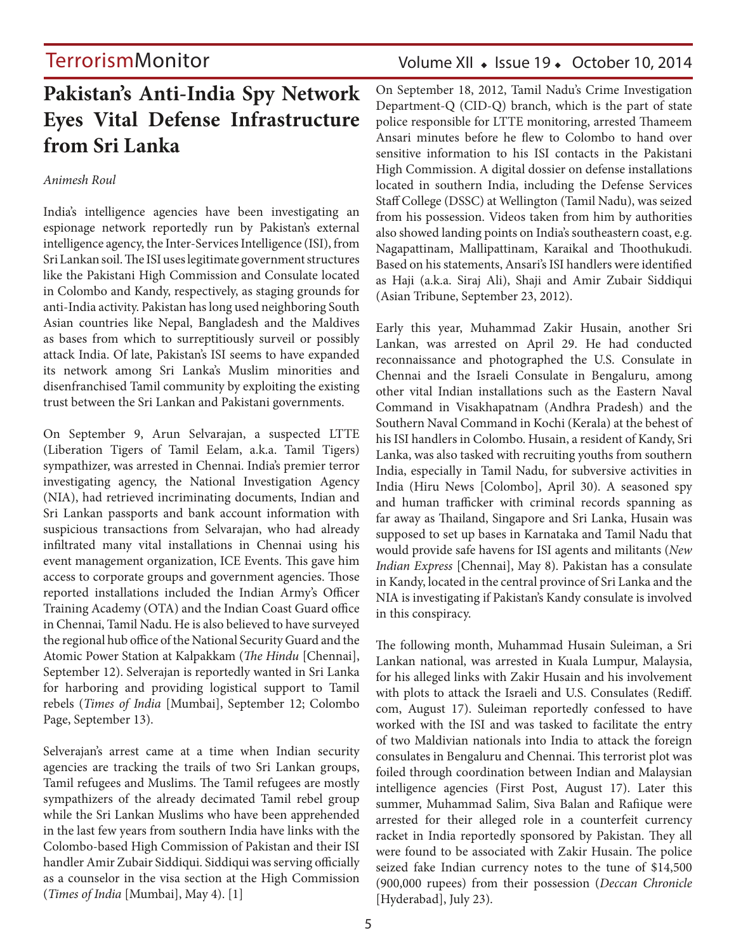## **Pakistan's Anti-India Spy Network Eyes Vital Defense Infrastructure from Sri Lanka**

### *Animesh Roul*

India's intelligence agencies have been investigating an espionage network reportedly run by Pakistan's external intelligence agency, the Inter-Services Intelligence (ISI), from Sri Lankan soil. The ISI uses legitimate government structures like the Pakistani High Commission and Consulate located in Colombo and Kandy, respectively, as staging grounds for anti-India activity. Pakistan has long used neighboring South Asian countries like Nepal, Bangladesh and the Maldives as bases from which to surreptitiously surveil or possibly attack India. Of late, Pakistan's ISI seems to have expanded its network among Sri Lanka's Muslim minorities and disenfranchised Tamil community by exploiting the existing trust between the Sri Lankan and Pakistani governments.

On September 9, Arun Selvarajan, a suspected LTTE (Liberation Tigers of Tamil Eelam, a.k.a. Tamil Tigers) sympathizer, was arrested in Chennai. India's premier terror investigating agency, the National Investigation Agency (NIA), had retrieved incriminating documents, Indian and Sri Lankan passports and bank account information with suspicious transactions from Selvarajan, who had already infiltrated many vital installations in Chennai using his event management organization, ICE Events. This gave him access to corporate groups and government agencies. Those reported installations included the Indian Army's Officer Training Academy (OTA) and the Indian Coast Guard office in Chennai, Tamil Nadu. He is also believed to have surveyed the regional hub office of the National Security Guard and the Atomic Power Station at Kalpakkam (*The Hindu* [Chennai], September 12). Selverajan is reportedly wanted in Sri Lanka for harboring and providing logistical support to Tamil rebels (*Times of India* [Mumbai], September 12; Colombo Page, September 13).

Selverajan's arrest came at a time when Indian security agencies are tracking the trails of two Sri Lankan groups, Tamil refugees and Muslims. The Tamil refugees are mostly sympathizers of the already decimated Tamil rebel group while the Sri Lankan Muslims who have been apprehended in the last few years from southern India have links with the Colombo-based High Commission of Pakistan and their ISI handler Amir Zubair Siddiqui. Siddiqui was serving officially as a counselor in the visa section at the High Commission (*Times of India* [Mumbai], May 4). [1]

## Volume XII · Issue 19 · October 10, 2014

On September 18, 2012, Tamil Nadu's Crime Investigation Department-Q (CID-Q) branch, which is the part of state police responsible for LTTE monitoring, arrested Thameem Ansari minutes before he flew to Colombo to hand over sensitive information to his ISI contacts in the Pakistani High Commission. A digital dossier on defense installations located in southern India, including the Defense Services Staff College (DSSC) at Wellington (Tamil Nadu), was seized from his possession. Videos taken from him by authorities also showed landing points on India's southeastern coast, e.g. Nagapattinam, Mallipattinam, Karaikal and Thoothukudi. Based on his statements, Ansari's ISI handlers were identified as Haji (a.k.a. Siraj Ali), Shaji and Amir Zubair Siddiqui (Asian Tribune, September 23, 2012).

Early this year, Muhammad Zakir Husain, another Sri Lankan, was arrested on April 29. He had conducted reconnaissance and photographed the U.S. Consulate in Chennai and the Israeli Consulate in Bengaluru, among other vital Indian installations such as the Eastern Naval Command in Visakhapatnam (Andhra Pradesh) and the Southern Naval Command in Kochi (Kerala) at the behest of his ISI handlers in Colombo. Husain, a resident of Kandy, Sri Lanka, was also tasked with recruiting youths from southern India, especially in Tamil Nadu, for subversive activities in India (Hiru News [Colombo], April 30). A seasoned spy and human trafficker with criminal records spanning as far away as Thailand, Singapore and Sri Lanka, Husain was supposed to set up bases in Karnataka and Tamil Nadu that would provide safe havens for ISI agents and militants (*New Indian Express* [Chennai], May 8). Pakistan has a consulate in Kandy, located in the central province of Sri Lanka and the NIA is investigating if Pakistan's Kandy consulate is involved in this conspiracy.

The following month, Muhammad Husain Suleiman, a Sri Lankan national, was arrested in Kuala Lumpur, Malaysia, for his alleged links with Zakir Husain and his involvement with plots to attack the Israeli and U.S. Consulates (Rediff. com, August 17). Suleiman reportedly confessed to have worked with the ISI and was tasked to facilitate the entry of two Maldivian nationals into India to attack the foreign consulates in Bengaluru and Chennai. This terrorist plot was foiled through coordination between Indian and Malaysian intelligence agencies (First Post, August 17). Later this summer, Muhammad Salim, Siva Balan and Rafiique were arrested for their alleged role in a counterfeit currency racket in India reportedly sponsored by Pakistan. They all were found to be associated with Zakir Husain. The police seized fake Indian currency notes to the tune of \$14,500 (900,000 rupees) from their possession (*Deccan Chronicle* [Hyderabad], July 23).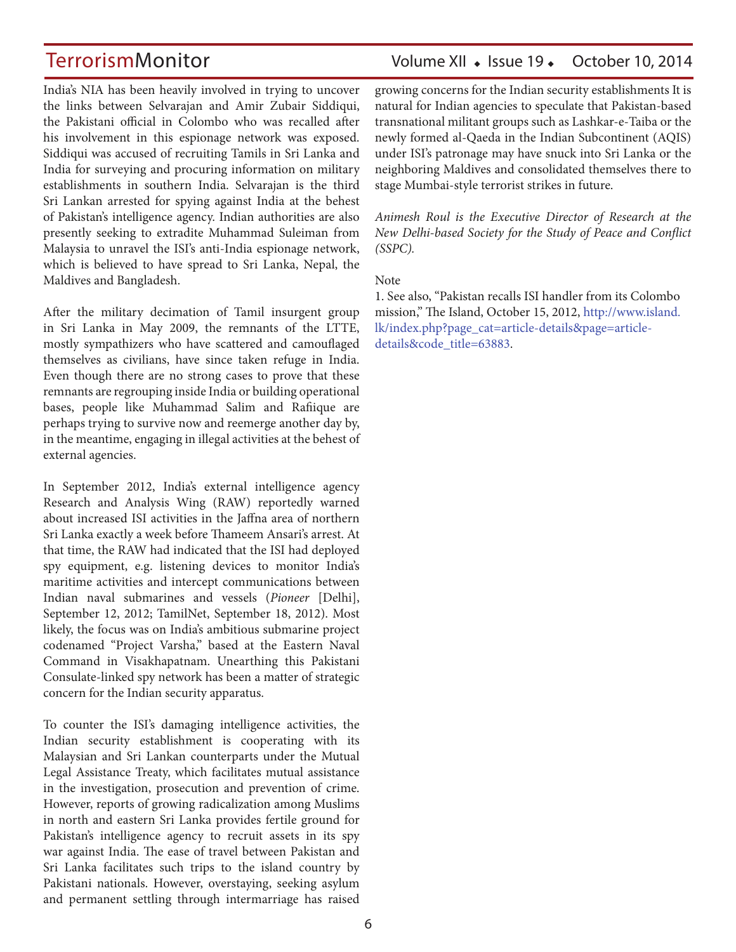India's NIA has been heavily involved in trying to uncover the links between Selvarajan and Amir Zubair Siddiqui, the Pakistani official in Colombo who was recalled after his involvement in this espionage network was exposed. Siddiqui was accused of recruiting Tamils in Sri Lanka and India for surveying and procuring information on military establishments in southern India. Selvarajan is the third Sri Lankan arrested for spying against India at the behest of Pakistan's intelligence agency. Indian authorities are also presently seeking to extradite Muhammad Suleiman from Malaysia to unravel the ISI's anti-India espionage network, which is believed to have spread to Sri Lanka, Nepal, the Maldives and Bangladesh.

After the military decimation of Tamil insurgent group in Sri Lanka in May 2009, the remnants of the LTTE, mostly sympathizers who have scattered and camouflaged themselves as civilians, have since taken refuge in India. Even though there are no strong cases to prove that these remnants are regrouping inside India or building operational bases, people like Muhammad Salim and Rafiique are perhaps trying to survive now and reemerge another day by, in the meantime, engaging in illegal activities at the behest of external agencies.

In September 2012, India's external intelligence agency Research and Analysis Wing (RAW) reportedly warned about increased ISI activities in the Jaffna area of northern Sri Lanka exactly a week before Thameem Ansari's arrest. At that time, the RAW had indicated that the ISI had deployed spy equipment, e.g. listening devices to monitor India's maritime activities and intercept communications between Indian naval submarines and vessels (*Pioneer* [Delhi], September 12, 2012; TamilNet, September 18, 2012). Most likely, the focus was on India's ambitious submarine project codenamed "Project Varsha," based at the Eastern Naval Command in Visakhapatnam. Unearthing this Pakistani Consulate-linked spy network has been a matter of strategic concern for the Indian security apparatus.

To counter the ISI's damaging intelligence activities, the Indian security establishment is cooperating with its Malaysian and Sri Lankan counterparts under the Mutual Legal Assistance Treaty, which facilitates mutual assistance in the investigation, prosecution and prevention of crime. However, reports of growing radicalization among Muslims in north and eastern Sri Lanka provides fertile ground for Pakistan's intelligence agency to recruit assets in its spy war against India. The ease of travel between Pakistan and Sri Lanka facilitates such trips to the island country by Pakistani nationals. However, overstaying, seeking asylum and permanent settling through intermarriage has raised

## TerrorismMonitor Volume XII + Issue 19 + October 10, 2014

growing concerns for the Indian security establishments It is natural for Indian agencies to speculate that Pakistan-based transnational militant groups such as Lashkar-e-Taiba or the newly formed al-Qaeda in the Indian Subcontinent (AQIS) under ISI's patronage may have snuck into Sri Lanka or the neighboring Maldives and consolidated themselves there to stage Mumbai-style terrorist strikes in future.

*Animesh Roul is the Executive Director of Research at the New Delhi-based Society for the Study of Peace and Conflict (SSPC).*

**Note** 

1. See also, "Pakistan recalls ISI handler from its Colombo mission," The Island, October 15, 2012, http://www.island. lk/index.php?page\_cat=article-details&page=articledetails&code\_title=63883.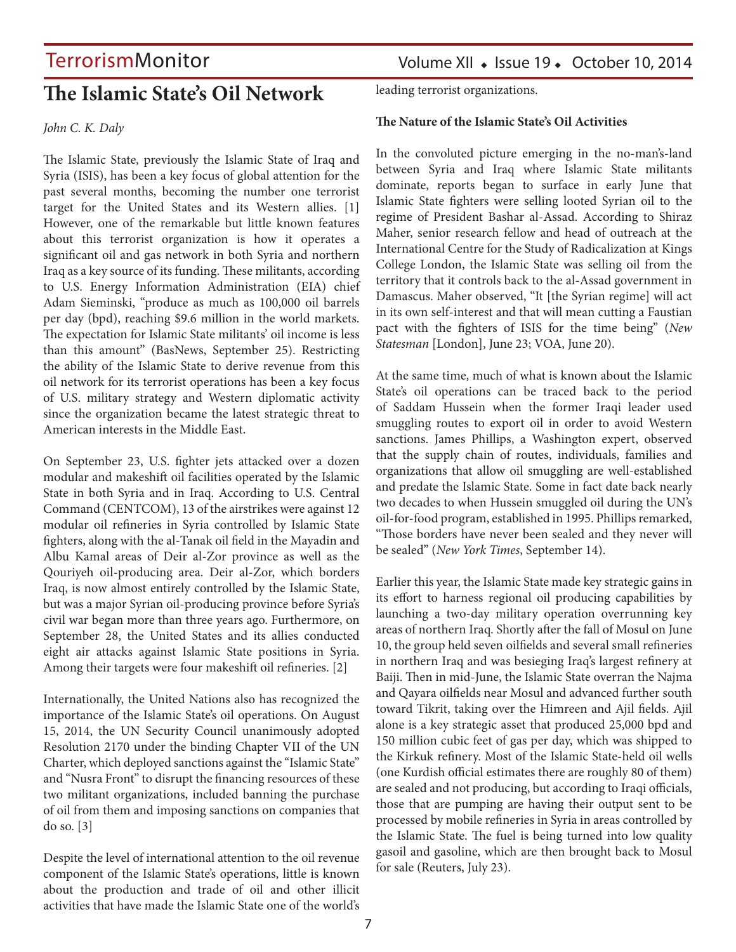## **The Islamic State's Oil Network**

*John C. K. Daly*

The Islamic State, previously the Islamic State of Iraq and Syria (ISIS), has been a key focus of global attention for the past several months, becoming the number one terrorist target for the United States and its Western allies. [1] However, one of the remarkable but little known features about this terrorist organization is how it operates a significant oil and gas network in both Syria and northern Iraq as a key source of its funding. These militants, according to U.S. Energy Information Administration (EIA) chief Adam Sieminski, "produce as much as 100,000 oil barrels per day (bpd), reaching \$9.6 million in the world markets. The expectation for Islamic State militants' oil income is less than this amount" (BasNews, September 25). Restricting the ability of the Islamic State to derive revenue from this oil network for its terrorist operations has been a key focus of U.S. military strategy and Western diplomatic activity since the organization became the latest strategic threat to American interests in the Middle East.

On September 23, U.S. fighter jets attacked over a dozen modular and makeshift oil facilities operated by the Islamic State in both Syria and in Iraq. According to U.S. Central Command (CENTCOM), 13 of the airstrikes were against 12 modular oil refineries in Syria controlled by Islamic State fighters, along with the al-Tanak oil field in the Mayadin and Albu Kamal areas of Deir al-Zor province as well as the Qouriyeh oil-producing area. Deir al-Zor, which borders Iraq, is now almost entirely controlled by the Islamic State, but was a major Syrian oil-producing province before Syria's civil war began more than three years ago. Furthermore, on September 28, the United States and its allies conducted eight air attacks against Islamic State positions in Syria. Among their targets were four makeshift oil refineries. [2]

Internationally, the United Nations also has recognized the importance of the Islamic State's oil operations. On August 15, 2014, the UN Security Council unanimously adopted Resolution 2170 under the binding Chapter VII of the UN Charter, which deployed sanctions against the "Islamic State" and "Nusra Front" to disrupt the financing resources of these two militant organizations, included banning the purchase of oil from them and imposing sanctions on companies that do so. [3]

Despite the level of international attention to the oil revenue component of the Islamic State's operations, little is known about the production and trade of oil and other illicit activities that have made the Islamic State one of the world's leading terrorist organizations.

### **The Nature of the Islamic State's Oil Activities**

In the convoluted picture emerging in the no-man's-land between Syria and Iraq where Islamic State militants dominate, reports began to surface in early June that Islamic State fighters were selling looted Syrian oil to the regime of President Bashar al-Assad. According to Shiraz Maher, senior research fellow and head of outreach at the International Centre for the Study of Radicalization at Kings College London, the Islamic State was selling oil from the territory that it controls back to the al-Assad government in Damascus. Maher observed, "It [the Syrian regime] will act in its own self-interest and that will mean cutting a Faustian pact with the fighters of ISIS for the time being" (*New Statesman* [London], June 23; VOA, June 20).

At the same time, much of what is known about the Islamic State's oil operations can be traced back to the period of Saddam Hussein when the former Iraqi leader used smuggling routes to export oil in order to avoid Western sanctions. James Phillips, a Washington expert, observed that the supply chain of routes, individuals, families and organizations that allow oil smuggling are well-established and predate the Islamic State. Some in fact date back nearly two decades to when Hussein smuggled oil during the UN's oil-for-food program, established in 1995. Phillips remarked, "Those borders have never been sealed and they never will be sealed" (*New York Times*, September 14).

Earlier this year, the Islamic State made key strategic gains in its effort to harness regional oil producing capabilities by launching a two-day military operation overrunning key areas of northern Iraq. Shortly after the fall of Mosul on June 10, the group held seven oilfields and several small refineries in northern Iraq and was besieging Iraq's largest refinery at Baiji. Then in mid-June, the Islamic State overran the Najma and Qayara oilfields near Mosul and advanced further south toward Tikrit, taking over the Himreen and Ajil fields. Ajil alone is a key strategic asset that produced 25,000 bpd and 150 million cubic feet of gas per day, which was shipped to the Kirkuk refinery. Most of the Islamic State-held oil wells (one Kurdish official estimates there are roughly 80 of them) are sealed and not producing, but according to Iraqi officials, those that are pumping are having their output sent to be processed by mobile refineries in Syria in areas controlled by the Islamic State. The fuel is being turned into low quality gasoil and gasoline, which are then brought back to Mosul for sale (Reuters, July 23).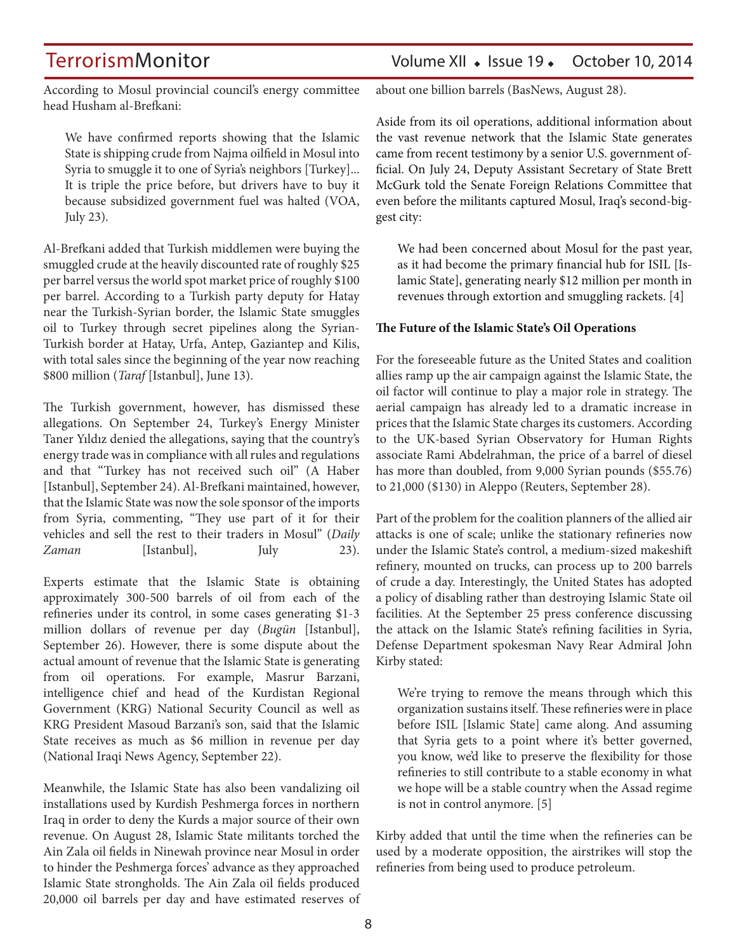## TerrorismMonitor Volume XII • Issue 19 • October 10, 2014

According to Mosul provincial council's energy committee head Husham al-Brefkani:

We have confirmed reports showing that the Islamic State is shipping crude from Najma oilfield in Mosul into Syria to smuggle it to one of Syria's neighbors [Turkey]... It is triple the price before, but drivers have to buy it because subsidized government fuel was halted (VOA, July 23).

Al-Brefkani added that Turkish middlemen were buying the smuggled crude at the heavily discounted rate of roughly \$25 per barrel versus the world spot market price of roughly \$100 per barrel. According to a Turkish party deputy for Hatay near the Turkish-Syrian border, the Islamic State smuggles oil to Turkey through secret pipelines along the Syrian-Turkish border at Hatay, Urfa, Antep, Gaziantep and Kilis, with total sales since the beginning of the year now reaching \$800 million (*Taraf* [Istanbul], June 13).

The Turkish government, however, has dismissed these allegations. On September 24, Turkey's Energy Minister Taner Yıldız denied the allegations, saying that the country's energy trade was in compliance with all rules and regulations and that "Turkey has not received such oil" (A Haber [Istanbul], September 24). Al-Brefkani maintained, however, that the Islamic State was now the sole sponsor of the imports from Syria, commenting, "They use part of it for their vehicles and sell the rest to their traders in Mosul" (*Daily Zaman* [Istanbul], July 23).

Experts estimate that the Islamic State is obtaining approximately 300-500 barrels of oil from each of the refineries under its control, in some cases generating \$1-3 million dollars of revenue per day (*Bugün* [Istanbul], September 26). However, there is some dispute about the actual amount of revenue that the Islamic State is generating from oil operations. For example, Masrur Barzani, intelligence chief and head of the Kurdistan Regional Government (KRG) National Security Council as well as KRG President Masoud Barzani's son, said that the Islamic State receives as much as \$6 million in revenue per day (National Iraqi News Agency, September 22).

Meanwhile, the Islamic State has also been vandalizing oil installations used by Kurdish Peshmerga forces in northern Iraq in order to deny the Kurds a major source of their own revenue. On August 28, Islamic State militants torched the Ain Zala oil fields in Ninewah province near Mosul in order to hinder the Peshmerga forces' advance as they approached Islamic State strongholds. The Ain Zala oil fields produced 20,000 oil barrels per day and have estimated reserves of about one billion barrels (BasNews, August 28).

Aside from its oil operations, additional information about the vast revenue network that the Islamic State generates came from recent testimony by a senior U.S. government official. On July 24, Deputy Assistant Secretary of State Brett McGurk told the Senate Foreign Relations Committee that even before the militants captured Mosul, Iraq's second-biggest city:

We had been concerned about Mosul for the past year, as it had become the primary financial hub for ISIL [Islamic State], generating nearly \$12 million per month in revenues through extortion and smuggling rackets. [4]

#### **The Future of the Islamic State's Oil Operations**

For the foreseeable future as the United States and coalition allies ramp up the air campaign against the Islamic State, the oil factor will continue to play a major role in strategy. The aerial campaign has already led to a dramatic increase in prices that the Islamic State charges its customers. According to the UK-based Syrian Observatory for Human Rights associate Rami Abdelrahman, the price of a barrel of diesel has more than doubled, from 9,000 Syrian pounds (\$55.76) to 21,000 (\$130) in Aleppo (Reuters, September 28).

Part of the problem for the coalition planners of the allied air attacks is one of scale; unlike the stationary refineries now under the Islamic State's control, a medium-sized makeshift refinery, mounted on trucks, can process up to 200 barrels of crude a day. Interestingly, the United States has adopted a policy of disabling rather than destroying Islamic State oil facilities. At the September 25 press conference discussing the attack on the Islamic State's refining facilities in Syria, Defense Department spokesman Navy Rear Admiral John Kirby stated:

We're trying to remove the means through which this organization sustains itself. These refineries were in place before ISIL [Islamic State] came along. And assuming that Syria gets to a point where it's better governed, you know, we'd like to preserve the flexibility for those refineries to still contribute to a stable economy in what we hope will be a stable country when the Assad regime is not in control anymore. [5]

Kirby added that until the time when the refineries can be used by a moderate opposition, the airstrikes will stop the refineries from being used to produce petroleum.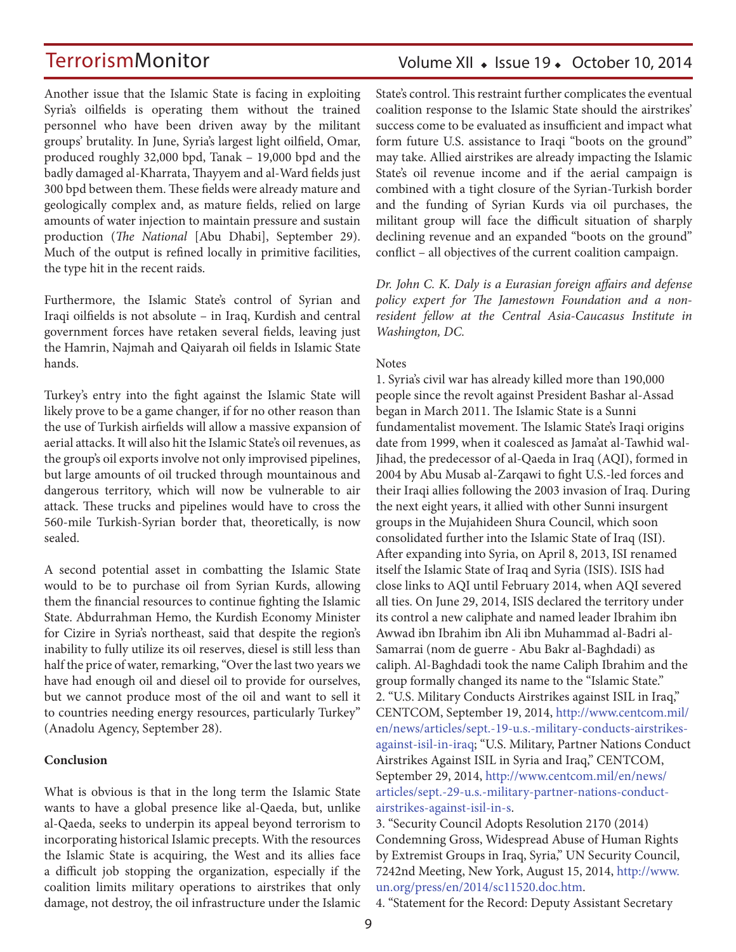Another issue that the Islamic State is facing in exploiting Syria's oilfields is operating them without the trained personnel who have been driven away by the militant groups' brutality. In June, Syria's largest light oilfield, Omar, produced roughly 32,000 bpd, Tanak – 19,000 bpd and the badly damaged al-Kharrata, Thayyem and al-Ward fields just 300 bpd between them. These fields were already mature and geologically complex and, as mature fields, relied on large amounts of water injection to maintain pressure and sustain production (*The National* [Abu Dhabi], September 29). Much of the output is refined locally in primitive facilities, the type hit in the recent raids.

Furthermore, the Islamic State's control of Syrian and Iraqi oilfields is not absolute – in Iraq, Kurdish and central government forces have retaken several fields, leaving just the Hamrin, Najmah and Qaiyarah oil fields in Islamic State hands.

Turkey's entry into the fight against the Islamic State will likely prove to be a game changer, if for no other reason than the use of Turkish airfields will allow a massive expansion of aerial attacks. It will also hit the Islamic State's oil revenues, as the group's oil exports involve not only improvised pipelines, but large amounts of oil trucked through mountainous and dangerous territory, which will now be vulnerable to air attack. These trucks and pipelines would have to cross the 560-mile Turkish-Syrian border that, theoretically, is now sealed.

A second potential asset in combatting the Islamic State would to be to purchase oil from Syrian Kurds, allowing them the financial resources to continue fighting the Islamic State. Abdurrahman Hemo, the Kurdish Economy Minister for Cizire in Syria's northeast, said that despite the region's inability to fully utilize its oil reserves, diesel is still less than half the price of water, remarking, "Over the last two years we have had enough oil and diesel oil to provide for ourselves, but we cannot produce most of the oil and want to sell it to countries needing energy resources, particularly Turkey" (Anadolu Agency, September 28).

#### **Conclusion**

What is obvious is that in the long term the Islamic State wants to have a global presence like al-Qaeda, but, unlike al-Qaeda, seeks to underpin its appeal beyond terrorism to incorporating historical Islamic precepts. With the resources the Islamic State is acquiring, the West and its allies face a difficult job stopping the organization, especially if the coalition limits military operations to airstrikes that only damage, not destroy, the oil infrastructure under the Islamic

## Volume XII · Issue 19 · October 10, 2014

State's control. This restraint further complicates the eventual coalition response to the Islamic State should the airstrikes' success come to be evaluated as insufficient and impact what form future U.S. assistance to Iraqi "boots on the ground" may take. Allied airstrikes are already impacting the Islamic State's oil revenue income and if the aerial campaign is combined with a tight closure of the Syrian-Turkish border and the funding of Syrian Kurds via oil purchases, the militant group will face the difficult situation of sharply declining revenue and an expanded "boots on the ground" conflict – all objectives of the current coalition campaign.

*Dr. John C. K. Daly is a Eurasian foreign affairs and defense policy expert for The Jamestown Foundation and a nonresident fellow at the Central Asia-Caucasus Institute in Washington, DC.*

#### **Notes**

1. Syria's civil war has already killed more than 190,000 people since the revolt against President Bashar al-Assad began in March 2011. The Islamic State is a Sunni fundamentalist movement. The Islamic State's Iraqi origins date from 1999, when it coalesced as Jama'at al-Tawhid wal-Jihad, the predecessor of al-Qaeda in Iraq (AQI), formed in 2004 by Abu Musab al-Zarqawi to fight U.S.-led forces and their Iraqi allies following the 2003 invasion of Iraq. During the next eight years, it allied with other Sunni insurgent groups in the Mujahideen Shura Council, which soon consolidated further into the Islamic State of Iraq (ISI). After expanding into Syria, on April 8, 2013, ISI renamed itself the Islamic State of Iraq and Syria (ISIS). ISIS had close links to AQI until February 2014, when AQI severed all ties. On June 29, 2014, ISIS declared the territory under its control a new caliphate and named leader Ibrahim ibn Awwad ibn Ibrahim ibn Ali ibn Muhammad al-Badri al-Samarrai (nom de guerre - Abu Bakr al-Baghdadi) as caliph. Al-Baghdadi took the name Caliph Ibrahim and the group formally changed its name to the "Islamic State." 2. "U.S. Military Conducts Airstrikes against ISIL in Iraq," CENTCOM, September 19, 2014, http://www.centcom.mil/ en/news/articles/sept.-19-u.s.-military-conducts-airstrikesagainst-isil-in-iraq; "U.S. Military, Partner Nations Conduct Airstrikes Against ISIL in Syria and Iraq," CENTCOM, September 29, 2014, http://www.centcom.mil/en/news/ articles/sept.-29-u.s.-military-partner-nations-conductairstrikes-against-isil-in-s.

3. "Security Council Adopts Resolution 2170 (2014) Condemning Gross, Widespread Abuse of Human Rights by Extremist Groups in Iraq, Syria," UN Security Council, 7242nd Meeting, New York, August 15, 2014, http://www. un.org/press/en/2014/sc11520.doc.htm.

4. "Statement for the Record: Deputy Assistant Secretary